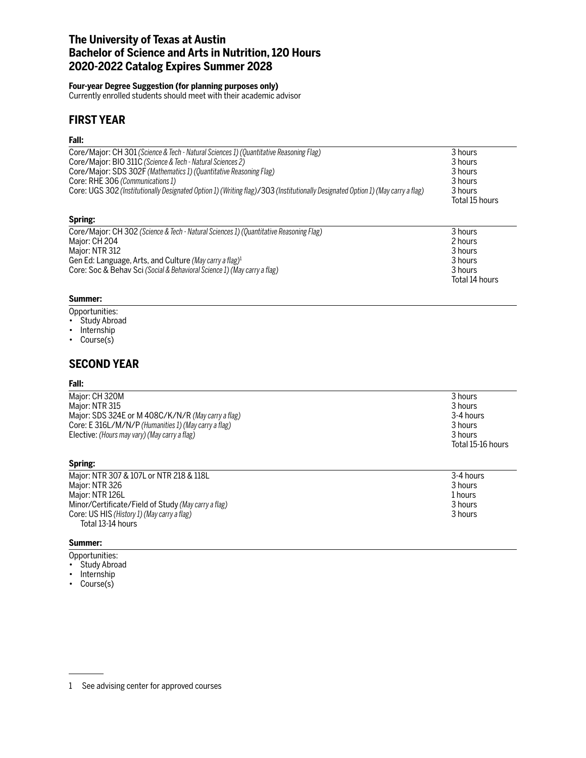## **The University of Texas at Austin Bachelor of Science and Arts in Nutrition, 120 Hours 2020-2022 Catalog Expires Summer 2028**

#### **Four-year Degree Suggestion (for planning purposes only)**

Currently enrolled students should meet with their academic advisor

## **FIRST YEAR**

### **Fall:**

| Core/Major: CH 301 (Science & Tech - Natural Sciences 1) (Quantitative Reasoning Flag)<br>Core/Major: BIO 311C (Science & Tech - Natural Sciences 2)<br>Core/Major: SDS 302F (Mathematics 1) (Quantitative Reasoning Flag)<br>Core: RHE 306 (Communications 1)<br>Core: UGS 302 (Institutionally Designated Option 1) (Writing flag)/303 (Institutionally Designated Option 1) (May carry a flag) | 3 hours<br>3 hours<br>3 hours<br>3 hours<br>3 hours<br>Total 15 hours |
|---------------------------------------------------------------------------------------------------------------------------------------------------------------------------------------------------------------------------------------------------------------------------------------------------------------------------------------------------------------------------------------------------|-----------------------------------------------------------------------|
| Spring:                                                                                                                                                                                                                                                                                                                                                                                           |                                                                       |

| Core/Major: CH 302 (Science & Tech - Natural Sciences 1) (Quantitative Reasoning Flag) | 3 hours        |
|----------------------------------------------------------------------------------------|----------------|
| Major: CH 204                                                                          | 2 hours        |
| Major: NTR 312                                                                         | 3 hours        |
| Gen Ed: Language, Arts, and Culture (May carry a flag) <sup>1</sup>                    | 3 hours        |
| Core: Soc & Behav Sci (Social & Behavioral Science 1) (May carry a flag)               | 3 hours        |
|                                                                                        | Total 14 hours |

### **Summer:**

- Opportunities:
- Study Abroad
- Internship
- Course(s)

## **SECOND YEAR**

### **Fall:**

| Major: CH 320M                                       | 3 hours           |
|------------------------------------------------------|-------------------|
| Major: NTR 315                                       | 3 hours           |
| Major: SDS 324E or M 408C/K/N/R (May carry a flag)   | 3-4 hours         |
| Core: E 316L/M/N/P (Humanities 1) (May carry a flag) | 3 hours           |
| Elective: (Hours may vary) (May carry a flag)        | 3 hours           |
|                                                      | Total 15-16 hours |

### **Spring:**

| Major: NTR 307 & 107L or NTR 218 & 118L             | 3-4 hours |
|-----------------------------------------------------|-----------|
| Major: NTR 326                                      | 3 hours   |
| Major: NTR 126L                                     | 1 hours   |
| Minor/Certificate/Field of Study (May carry a flag) | 3 hours   |
| Core: US HIS (History 1) (May carry a flag)         | 3 hours   |
| Total 13-14 hours                                   |           |

#### **Summer:**

- Opportunities:
- Study Abroad
- Internship
- Course(s)

<sup>1</sup> See advising center for approved courses